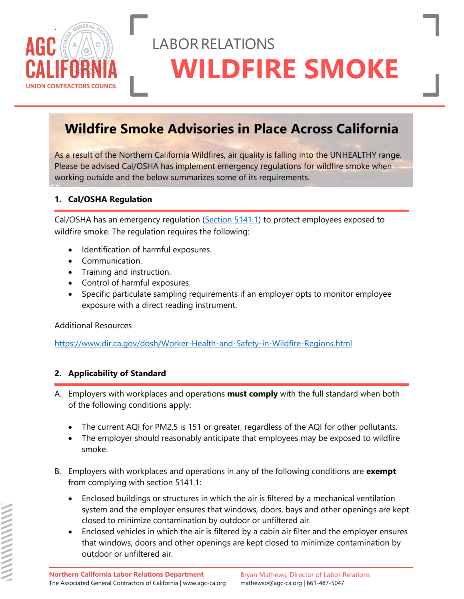

# LABORRELATIONS **WILDFIRE SMOKE**

### **Wildfire Smoke Advisories in Place Across California**

As a result of the Northern California Wildfires, air quality is falling into the UNHEALTHY range. Please be advised Cal/OSHA has implement emergency regulations for wildfire smoke when working outside and the below summarizes some of its requirements.

#### **1. Cal/OSHA Regulation**

Cal/OSHA has an emergency regulation [\(Section 5141.1\)](https://www.dir.ca.gov/title8/5141_1.html) to protect employees exposed to wildfire smoke. The regulation requires the following:

- Identification of harmful exposures.
- Communication.
- Training and instruction.
- Control of harmful exposures.
- Specific particulate sampling requirements if an employer opts to monitor employee exposure with a direct reading instrument.

Additional Resources

<https://www.dir.ca.gov/dosh/Worker-Health-and-Safety-in-Wildfire-Regions.html>

#### **2. Applicability of Standard**

- A. Employers with workplaces and operations **must comply** with the full standard when both of the following conditions apply:
	- The current AQI for PM2.5 is 151 or greater, regardless of the AQI for other pollutants.
	- The employer should reasonably anticipate that employees may be exposed to wildfire smoke.
- B. Employers with workplaces and operations in any of the following conditions are **exempt** from complying with section 5141.1:
	- Enclosed buildings or structures in which the air is filtered by a mechanical ventilation system and the employer ensures that windows, doors, bays and other openings are kept closed to minimize contamination by outdoor or unfiltered air.
	- Enclosed vehicles in which the air is filtered by a cabin air filter and the employer ensures that windows, doors and other openings are kept closed to minimize contamination by outdoor or unfiltered air.